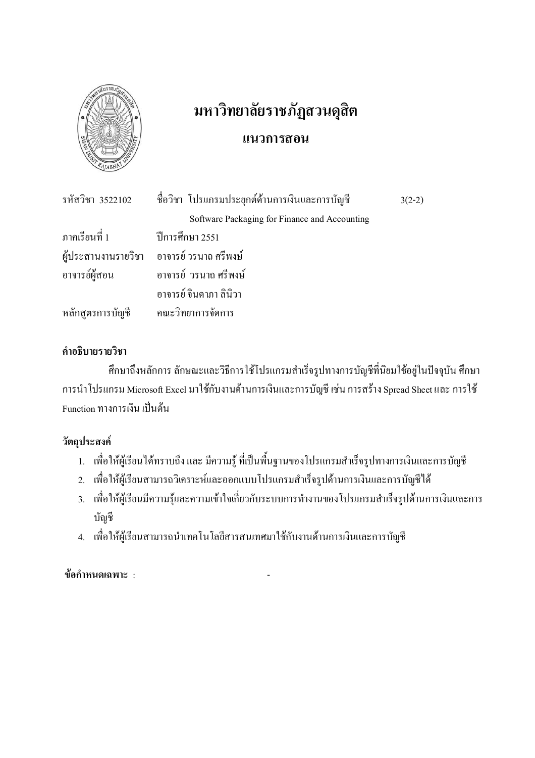

# มหาวิทยาลัยราชภัฏสวนดุสิต แนวการสอน

|                                    | รหัสวิชา 3522102 - ชื่อวิชา โปรแกรมประยุกต์ด้านการเงินและการบัญชี | $3(2-2)$ |
|------------------------------------|-------------------------------------------------------------------|----------|
|                                    | Software Packaging for Finance and Accounting                     |          |
| ภาคเรียนที่ 1 ปีการศึกษา 2551      |                                                                   |          |
|                                    | ผู้ประสานงานรายวิชา อาจารย์วรนาถศรีพงษ์                           |          |
|                                    | ้อาจารย์ผู้สอน อาจารย์ วรนาถ ศรีพงษ์                              |          |
|                                    | อาจารย์ จินดาภา ลินิวา                                            |          |
| หลักสูตรการบัญชี คณะวิทยาการจัดการ |                                                                   |          |

## คำคริบายรายวิชา

้ศึกษาถึงหลักการ ลักษณะและวิธีการใช้โปรแกรมสำเร็จรูปทางการบัญชีที่นิยมใช้อยู่ในปัจจุบัน ศึกษา การนำโปรแกรม Microsoft Excel มาใช้กับงานด้านการเงินและการบัญชี เช่น การสร้าง Spread Sheet และ การใช้ Function ทางการเงิน เป็นต้น

# วัตถุประสงค์

- 1. เพื่อให้ผู้เรียนได้ทราบถึง และ มีความรู้ ที่เป็นพื้นฐานของโปรแกรมสำเร็จรูปทางการเงินและการบัญชี
- 2. เพื่อให้ผู้เรียนสามารถวิเคราะห์และออกแบบโปรแกรมสำเร็จรูปด้านการเงินและการบัญชีได้
- 3. เพื่อให้ผู้เรียนมีความรู้และความเข้าใจเกี่ยวกับระบบการทำงานของโปรแกรมสำเร็จรูปด้านการเงินและการ บัญชี
- 4. เพื่อให้ผู้เรียนสามารถนำเทคโนโลยีสารสนเทศมาใช้กับงานด้านการเงินและการบัญชี

์<br>ข้อกำหนดเฉพาะ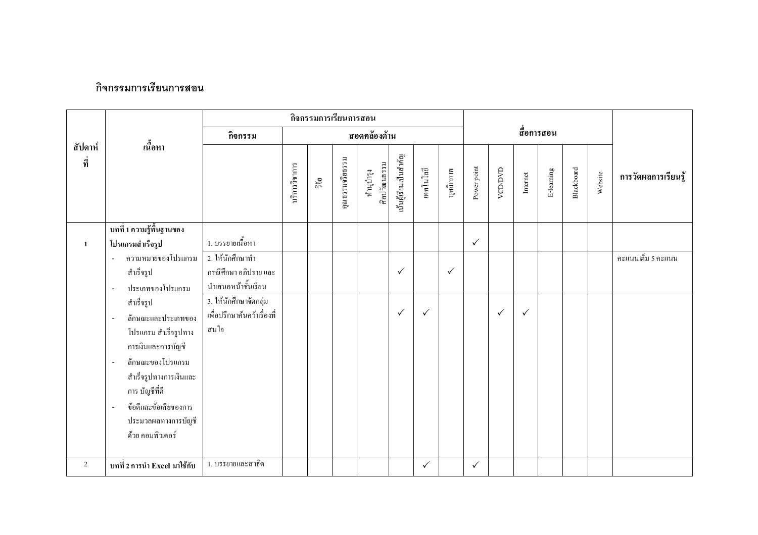### กิจกรรมการเรียนการสอน

|                | กิจกรรมการเรียนการสอน                                                                                                                                                                                                                                                     |                                                                                                                |               |       |                 |                           |                      |              |              |              |              |              |            |            |         |                     |
|----------------|---------------------------------------------------------------------------------------------------------------------------------------------------------------------------------------------------------------------------------------------------------------------------|----------------------------------------------------------------------------------------------------------------|---------------|-------|-----------------|---------------------------|----------------------|--------------|--------------|--------------|--------------|--------------|------------|------------|---------|---------------------|
|                |                                                                                                                                                                                                                                                                           | กิจกรรม                                                                                                        | สอดคล้องด้าน  |       |                 |                           |                      |              |              |              |              |              | สื่อการสอน |            |         |                     |
| สัปดาห์<br>ที่ | เนื้อหา                                                                                                                                                                                                                                                                   |                                                                                                                | บริการวิชาการ | ີ້າຢ້ | คุณธรรมจริยธรรม | ศิลปวัฒนธรรม<br>ทำนุบำรุง | น้นผู้เรียนเป็นสำคัญ | เทคโนโลยี    | บุคลิกภาพ    | Power point  | VCD/DVD      | Internet     | E-leaming  | Blackboard | Website | การวัดผลการเรียนรู้ |
|                | บทที่ 1 ความรู้พื้นฐานของ                                                                                                                                                                                                                                                 |                                                                                                                |               |       |                 |                           |                      |              |              |              |              |              |            |            |         |                     |
| $\mathbf{1}$   | โปรแกรมสำเร็จรูป<br>ความหมายของโปรแกรม<br>$\sim$<br>สำเร็จรูป<br>ประเภทของโปรแกรม<br>÷,                                                                                                                                                                                   | 1. บรรยายเนื้อหา<br>2. ให้นักศึกษาทำ<br>กรณีศึกษา อภิปราย และ<br>นำเสนอหน้าชั้นเรียน<br>3. ให้นักศึกษาจัดกลุ่ม |               |       |                 |                           | $\checkmark$         |              | $\checkmark$ | $\checkmark$ |              |              |            |            |         | คะแนนเต็ม 5 คะแนน   |
|                | สำเร็จรูป<br>ลักษณะและประเภทของ<br>$\overline{\phantom{a}}$<br>โปรแกรม สำเร็จรูปทาง<br>การเงินและการบัญชี<br>ลักษณะของโปรแกรม<br>$\overline{a}$<br>สำเร็จรูปทางการเงินและ<br>การ บัญชีที่ดี<br>ข้อดีและข้อเสียของการ<br>$\sim$<br>ประมวลผลทางการบัญชี<br>ด้วย คอมพิวเตอร์ | เพื่อปรึกษาค้นคว้าเรื่องที่<br>สนใจ                                                                            |               |       |                 |                           | $\checkmark$         | $\checkmark$ |              |              | $\checkmark$ | $\checkmark$ |            |            |         |                     |
| $\overline{2}$ | บทที่ 2 การนำ Excel มาใช้กับ                                                                                                                                                                                                                                              | 1. บรรยายและสาธิต                                                                                              |               |       |                 |                           |                      | $\checkmark$ |              | $\checkmark$ |              |              |            |            |         |                     |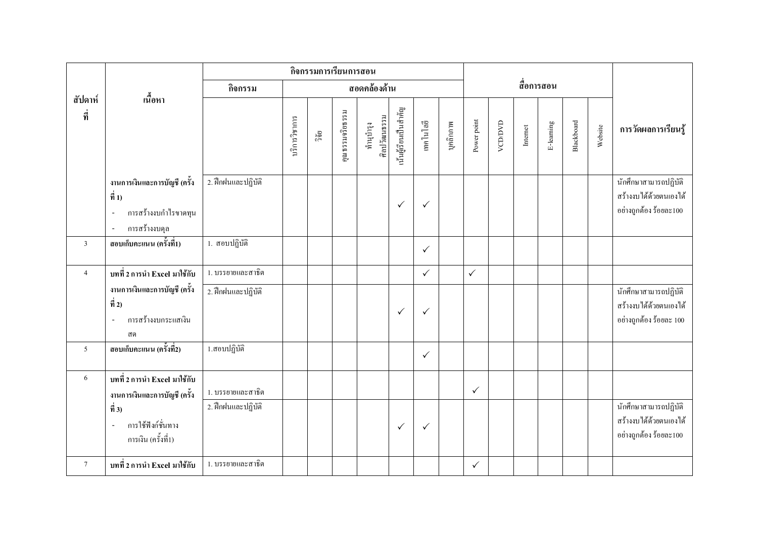|                |                                                                                                                                              |                                         |               | กิจกรรมการเรียนการสอน |                 |                           |                       |              |           |              |         |                                |            |            |         |                                                                            |
|----------------|----------------------------------------------------------------------------------------------------------------------------------------------|-----------------------------------------|---------------|-----------------------|-----------------|---------------------------|-----------------------|--------------|-----------|--------------|---------|--------------------------------|------------|------------|---------|----------------------------------------------------------------------------|
|                | เนื้อหา                                                                                                                                      | กิจกรรม                                 |               |                       |                 | สอดคล้องด้าน              |                       |              |           |              |         |                                | สื่อการสอน |            |         |                                                                            |
| สัปดาห์<br>ที่ |                                                                                                                                              |                                         | บริการวิชาการ | ີ້າຍ                  | คุณธรรมจริยธรรม | ศิลปวัฒนธรรม<br>ทำนุบำรุง | นั้นผู้เรียนเป็นสำคัญ | เทคโนโลยี    | บุคลิกภาพ | Power point  | VCD/DVD | $\label{eq:intermet}$ Internet | E-leaming  | Blackboard | Website | การวัดผลการเรียนรู้                                                        |
|                | งานการเงินและการบัญชี (ครั้ง<br>$\vec{\hat{n}}$ 1)<br>การสร้างงบกำไรขาดทุน<br>$\sim$<br>การสร้างงบคุล                                        | 2. ฝึกฝนและปฏิบัติ                      |               |                       |                 |                           | $\checkmark$          | $\checkmark$ |           |              |         |                                |            |            |         | นักศึกษาสามารถปฏิบัติ<br>สร้างงบได้ด้วยตนเองได้<br>อย่างถูกต้อง ร้อยละ100  |
| $\overline{3}$ | ี สอบเก็บคะแนน (ครั้งที่1)                                                                                                                   | 1. สอบปฏิบัติ                           |               |                       |                 |                           |                       | $\checkmark$ |           |              |         |                                |            |            |         |                                                                            |
| $\overline{4}$ | บทที่ 2 การนำ Excel มาใช้กับ                                                                                                                 | 1. บรรยายและสาธิต                       |               |                       |                 |                           |                       | $\checkmark$ |           | $\checkmark$ |         |                                |            |            |         |                                                                            |
|                | งานการเงินและการบัญชี (ครั้ง<br>$\vec{\hat{n}}$ 2)<br>การสร้างงบกระแสเงิน<br>$\sim$<br>ิสค                                                   | 2. ฝึกฝนและปฏิบัติ                      |               |                       |                 |                           | $\checkmark$          | $\checkmark$ |           |              |         |                                |            |            |         | นักศึกษาสามารถปฏิบัติ<br>สร้างงบได้ด้วยตนเองได้<br>อย่างถูกต้อง ร้อยละ 100 |
| 5              | สอบเก็บคะแนน (ครั้งที่2)                                                                                                                     | 1.สอบปฏิบัติ                            |               |                       |                 |                           |                       | $\checkmark$ |           |              |         |                                |            |            |         |                                                                            |
| $6\,$          | บทที่ 2 การนำ Excel มาใช้กับ<br>งานการเงินและการบัญชี (ครั้ง<br>$\vec{\hat{\eta}}$ 3)<br>การใช้ฟังก์ชั่นทาง<br>$\sim$<br>การเงิน (ครั้งที่1) | 1. บรรยายและสาธิต<br>2. ฝึกฝนและปฏิบัติ |               |                       |                 |                           | $\checkmark$          | $\checkmark$ |           | $\checkmark$ |         |                                |            |            |         | นักศึกษาสามารถปฏิบัติ<br>สร้างงบได้ด้วยตนเองได้<br>อย่างถูกต้อง ร้อยละ100  |
| $\overline{7}$ | บทที่ 2 การนำ Excel มาใช้กับ                                                                                                                 | 1. บรรยายและสาธิต                       |               |                       |                 |                           |                       |              |           | $\checkmark$ |         |                                |            |            |         |                                                                            |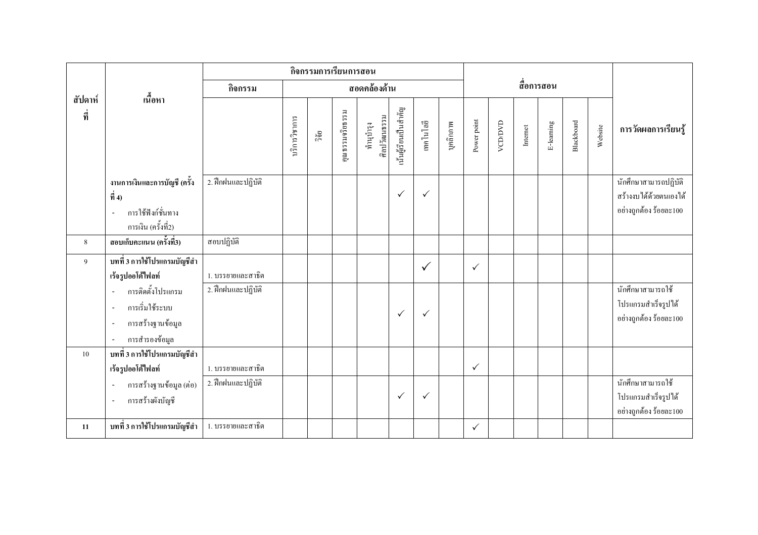|                              |                                                                                                           |                    |      |                 | กิจกรรมการเรียนการสอน     |                       |              |              |             |              |          | สื่อการสอน |            |         |                     |                                                                           |
|------------------------------|-----------------------------------------------------------------------------------------------------------|--------------------|------|-----------------|---------------------------|-----------------------|--------------|--------------|-------------|--------------|----------|------------|------------|---------|---------------------|---------------------------------------------------------------------------|
| กิจกรรม                      |                                                                                                           |                    |      |                 |                           | สอดคล้องด้าน          |              |              |             |              |          |            |            |         |                     |                                                                           |
| ้เนื้อหา<br>สัปดาห์<br>ี ที่ |                                                                                                           | บริการวิชาการ      | ារិម | กุณธรรมจริยธรรม | ศิลปวัฒนธรรม<br>ทำนุบำรุง | นั้นผู้เรียนเป็นสำคัญ | เทคโนโลยี    | บุคลิกภาพ    | Power point | VCD/DVD      | Internet | E-leaming  | Blackboard | Website | การวัดผลการเรียนรู้ |                                                                           |
|                              | งานการเงินและการบัญชี (ครั้ง<br>$\dot{\vec{n}}$ 4)<br>การใช้ฟังก์ชั่นทาง<br>$\sim$<br>การเงิน (ครั้งที่2) | 2. ฝึกฝนและปฏิบัติ |      |                 |                           |                       | $\checkmark$ | $\checkmark$ |             |              |          |            |            |         |                     | นักศึกษาสามารถปฏิบัติ<br>สร้างงบได้ด้วยตนเองได้<br>อย่างถูกต้อง ร้อยละ100 |
| 8                            | สอบเก็บคะแนน (ครั้งที่3)                                                                                  | สอบปฏิบัติ         |      |                 |                           |                       |              |              |             |              |          |            |            |         |                     |                                                                           |
| $\boldsymbol{9}$             | บทที่ 3 การใช้โปรแกรมบัญชีสำ<br>เร้จรูปออโต้ไฟลท์                                                         | 1. บรรยายและสาธิต  |      |                 |                           |                       |              | $\checkmark$ |             | $\checkmark$ |          |            |            |         |                     |                                                                           |
|                              | การติดตั้งโปรแกรม<br>$\overline{a}$<br>การเริ่มใช้ระบบ<br>$\sim$<br>การสร้างฐานข้อมูล<br>การสำรองข้อมูล   | 2. ฝึกฝนและปฏิบัติ |      |                 |                           |                       | $\checkmark$ | $\checkmark$ |             |              |          |            |            |         |                     | นักศึกษาสามารถใช้<br>โปรแกรมสำเร็จรูปได้<br>อย่างถูกต้อง ร้อยละ $100$     |
| 10                           | บทที่ 3 การใช้โปรแกรมบัญชีสำ<br>เร้จรูปออโต้ไฟลท์                                                         | 1. บรรยายและสาธิต  |      |                 |                           |                       |              |              |             | $\checkmark$ |          |            |            |         |                     |                                                                           |
|                              | การสร้างฐานข้อมูล (ต่อ)<br>การสร้างผังบัญชี<br>$\sim$                                                     | 2. ฝึกฝนและปฏิบัติ |      |                 |                           |                       | $\checkmark$ | $\checkmark$ |             |              |          |            |            |         |                     | นักศึกษาสามารถใช้<br>โปรแกรมสำเร็จรูปได้<br>อย่างถูกต้อง ร้อยละ100        |
| 11                           | บทที่ 3 การใช้โปรแกรมบัญชีสำ                                                                              | 1. บรรยายและสาธิต  |      |                 |                           |                       |              |              |             | ✓            |          |            |            |         |                     |                                                                           |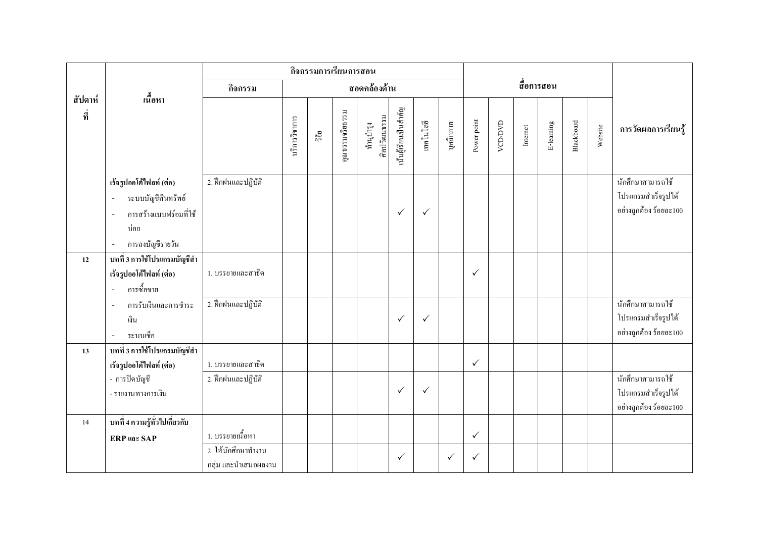|                |                                                                                                                                 |                                             |               | กิจกรรมการเรียนการสอน |                 |                           |                       |              |              |              |         |          |            |            |         |                                                                    |
|----------------|---------------------------------------------------------------------------------------------------------------------------------|---------------------------------------------|---------------|-----------------------|-----------------|---------------------------|-----------------------|--------------|--------------|--------------|---------|----------|------------|------------|---------|--------------------------------------------------------------------|
|                |                                                                                                                                 | กิจกรรม                                     |               |                       |                 | สอดคล้องด้าน              |                       |              |              |              |         |          | สื่อการสอน |            |         |                                                                    |
| สัปดาห์<br>ที่ | เนื้อหา                                                                                                                         |                                             | บริการวิชาการ | วิจัย                 | คุณธรรมจริยธรรม | ศิลปวัฒนธรรม<br>ทำนุบำรุง | นั้นผู้เรียนเป็นสำคัญ | เทคโนโลยี    | บุคลิกภาพ    | Power point  | VCD/DVD | Internet | E-leaming  | Blackboard | Website | การวัดผลการเรียนรู้                                                |
|                | เร้จรูปออโต้ไฟลท์ (ต่อ)<br>ระบบบัญชีสินทรัพย์<br>การสร้างแบบฟร์อมที่ใช้<br>$\overline{\phantom{a}}$<br>บ่อย<br>การลงบัญชีรายวัน | 2. ฝึกฝนและปฏิบัติ                          |               |                       |                 |                           | $\checkmark$          | $\checkmark$ |              |              |         |          |            |            |         | นักศึกษาสามารถใช้<br>โปรแกรมสำเร็จรูปได้<br>อย่างถูกต้อง ร้อยละ100 |
| 12             | บทที่ 3 การใช้โปรแกรมบัญชีสำ<br>เร้จรูปออโต้ไฟลท์ (ต่อ)<br>การซื้อขาย<br>$\sim$                                                 | 1. บรรยายและสาธิต                           |               |                       |                 |                           |                       |              |              | $\checkmark$ |         |          |            |            |         |                                                                    |
|                | การรับเงินและการชำระ<br>$\sim$<br>เงิน<br>ระบบเช็ค<br>$\blacksquare$                                                            | 2. ฝึกฝนและปฏิบัติ                          |               |                       |                 |                           | $\checkmark$          | $\checkmark$ |              |              |         |          |            |            |         | นักศึกษาสามารถใช้<br>โปรแกรมสำเร็จรูปได้<br>อย่างถูกต้อง ร้อยละ100 |
| 13             | ้บทที่ 3 การใช้โปรแกรมบัญชีสำ<br>เร้จรูปออโต้ไฟลท์ (ต่อ)<br>- การปิดบัญชี<br>- รายงานทางการเงิน                                 | 1. บรรยายและสาธิต<br>2. ฝึกฝนและปฏิบัติ     |               |                       |                 |                           | $\checkmark$          | $\checkmark$ |              | $\checkmark$ |         |          |            |            |         | นักศึกษาสามารถใช้<br>โปรแกรมสำเร็จรูปได้                           |
| 14             | บทที่ 4 ความรู้ทั่วไปเกี่ยวกับ<br><b>ERP</b> และ SAP                                                                            | 1. บรรยายเนื้อหา                            |               |                       |                 |                           |                       |              |              | $\checkmark$ |         |          |            |            |         | อย่างถูกค้อง ร้อยละ100                                             |
|                |                                                                                                                                 | 2. ให้นักศึกษาทำงาน<br>กลุ่ม และนำเสนอผลงาน |               |                       |                 |                           | $\checkmark$          |              | $\checkmark$ | $\checkmark$ |         |          |            |            |         |                                                                    |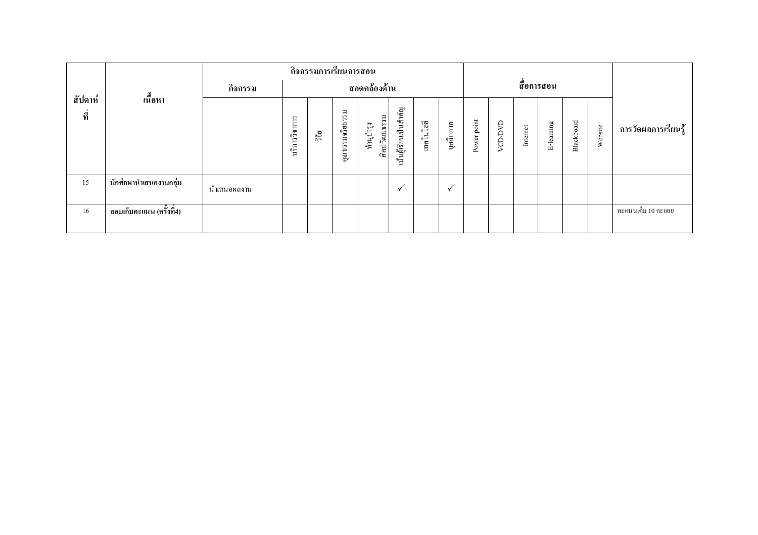|                |                            |             | กิจกรรมการเรียนการสอน | สื่อการสอน |                                                                                        |                           |                       |           |           |                |               |          |           |            |         |                     |
|----------------|----------------------------|-------------|-----------------------|------------|----------------------------------------------------------------------------------------|---------------------------|-----------------------|-----------|-----------|----------------|---------------|----------|-----------|------------|---------|---------------------|
|                |                            | กิจกรรม     | สอดคล้องด้าน          |            |                                                                                        |                           |                       |           |           |                |               |          |           |            |         |                     |
| สัปดาห์<br>ที่ | เนื้อหา                    |             | บริการวิชาการ         | ີ້າຢ       | $\overline{\rightarrow}$<br>$\sqrt{2}$<br>$\sqrt{2}$<br>รมจริยธร<br>$\sqrt{2}$<br>คุณร | ศิลปวัฒนธรรม<br>ทำนูบำรุง | เน้นผู้เรียนเป็นสำคัญ | เทคโนโลยี | บุคลิกภาพ | point<br>Power | <b>CAGCOA</b> | Internet | E-leaming | Blackboard | Website | การวัดผลการเรียนรู้ |
| 15             | นักศึกษานำเสนองานกลุ่ม     | นำเสนอผลงาน |                       |            |                                                                                        |                           | $\checkmark$          |           | ✓         |                |               |          |           |            |         |                     |
| 16             | ี สอบเก็บคะแนน (ครั้งที่4) |             |                       |            |                                                                                        |                           |                       |           |           |                |               |          |           |            |         | คะแนนเต็ม 10 คะแยย  |